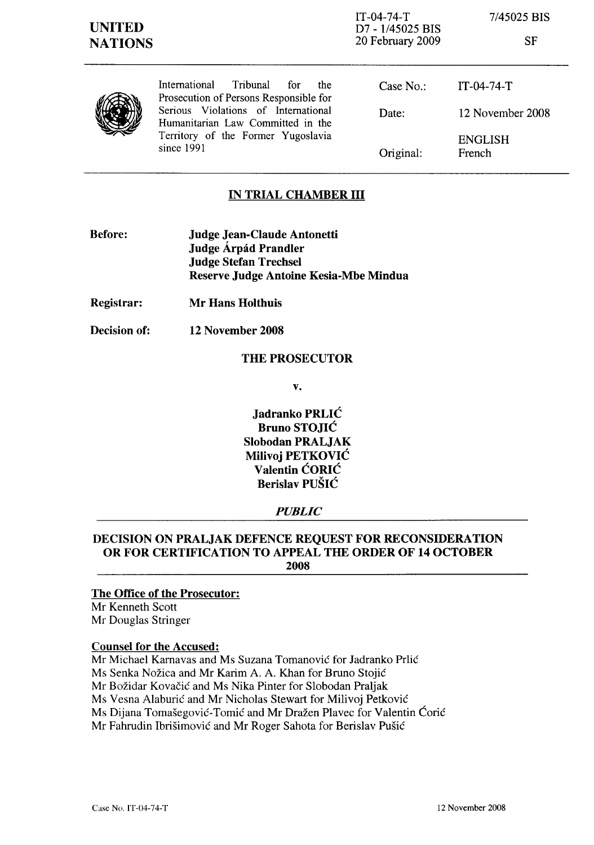IT-04-74-T D7 - 1/45025 BIS 20 February 2009 7/45025 BIS

SF



International Tribunal for the Prosecution of Persons Responsible for Serious Violations of International Humanitarian Law Committed in the Territory of the Former Yugoslavia since 1991

Case No.: Date: Original: IT-04-74-T 12 November 2008 ENGLISH French

# IN TRIAL CHAMBER III

- Before: Judge Jean-Claude Antonetti Judge Árpád Prandler Judge Stefan Trechsel Reserve Judge Antoine Kesia-Mbe Mindua
- Registrar: Mr Hans Holthuis
- Decision of: 12 November 2008

## THE PROSECUTOR

v.

Jadranko PRLIC Bruno STOJIC Slobodan PRALJAK Milivoj PETKOVIC Valentin CORIC Berislav PUSIC

# *PUBLIC*

## DECISION ON PRALJAK DEFENCE REQUEST FOR RECONSIDERATION OR FOR CERTIFICATION TO APPEAL THE ORDER OF 14 OCTOBER 2008

#### The Office of the Prosecutor:

Mr Kenneth Scott Mr Douglas Stringer

## Counsel for the Accused:

Mr Michael Kamavas and Ms Suzana Tomanovic for ladranko Prlic

Ms Senka Nozica and Mr Karim A. A. Khan for Bruno Stojic

Mr Bozidar Kovacic and Ms Nika Pinter for Slobodan Praljak

Ms Vesna Alaburic and Mr Nicholas Stewart for Milivoj Petkovic

Ms Dijana Tomašegović-Tomić and Mr Dražen Plavec for Valentin Ćorić

Mr Fahrudin Ibrisimovic and Mr Roger Sahota for Berislav Pusic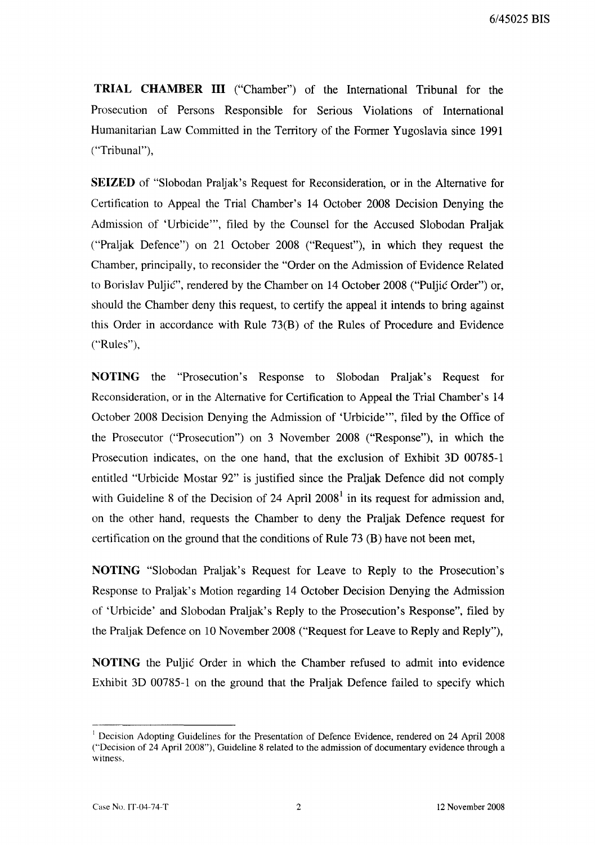**TRIAL CHAMBER III** ("Chamber") of the International Tribunal for the Prosecution of Persons Responsible for Serious Violations of International Humanitarian Law Committed in the Territory of the Former Yugoslavia since 1991 ("Tribunal"),

**SEIZED** of "Slobodan Praljak's Request for Reconsideration, or in the Alternative for Certification to Appeal the Trial Chamber's 14 October 2008 Decision Denying the Admission of 'Urbicide"', filed by the Counsel for the Accused Slobodan Praljak ("Praljak Defence") on 21 October 2008 ("Request"), in which they request the Chamber, principally, to reconsider the "Order on the Admission of Evidence Related to Borislav Puljic", rendered by the Chamber on 14 October 2008 ("Puljic Order") or, should the Chamber deny this request, to certify the appeal it intends to bring against this Order in accordance with Rule 73(B) of the Rules of Procedure and Evidence ("Rules"),

**NOTING** the "Prosecution's Response to Slobodan Praljak's Request for Reconsideration, or in the Alternative for Certification to Appeal the Trial Chamber's 14 October 2008 Decision Denying the Admission of 'Urbicide''', filed by the Office of the Prosecutor ("Prosecution") on 3 November 2008 ("Response"), in which the Prosecution indicates, on the one hand, that the exclusion of Exhibit 3D 00785-1 entitled "Urbicide Mostar 92" is justified since the Praljak Defence did not comply with Guideline 8 of the Decision of 24 April  $2008<sup>1</sup>$  in its request for admission and, on the other hand, requests the Chamber to deny the Praljak Defence request for certification on the ground that the conditions of Rule 73 (B) have not been met,

**NOTING** "Slobodan Praljak's Request for Leave to Reply to the Prosecution's Response to Praljak's Motion regarding 14 October Decision Denying the Admission of 'Urbicide' and Slobodan Praljak's Reply to the Prosecution's Response", filed by the Praljak Defence on 10 November 2008 ("Request for Leave to Reply and Reply"),

**NOTING** the Puljic Order in which the Chamber refused to admit into evidence Exhibit 3D 00785-1 on the ground that the Praljak Defence failed to specify which

<sup>&</sup>lt;sup>1</sup> Decision Adopting Guidelines for the Presentation of Defence Evidence, rendered on 24 April 2008 ("Decision of 24 April 2008"), Guideline 8 related to the admission of documentary evidence through a witness.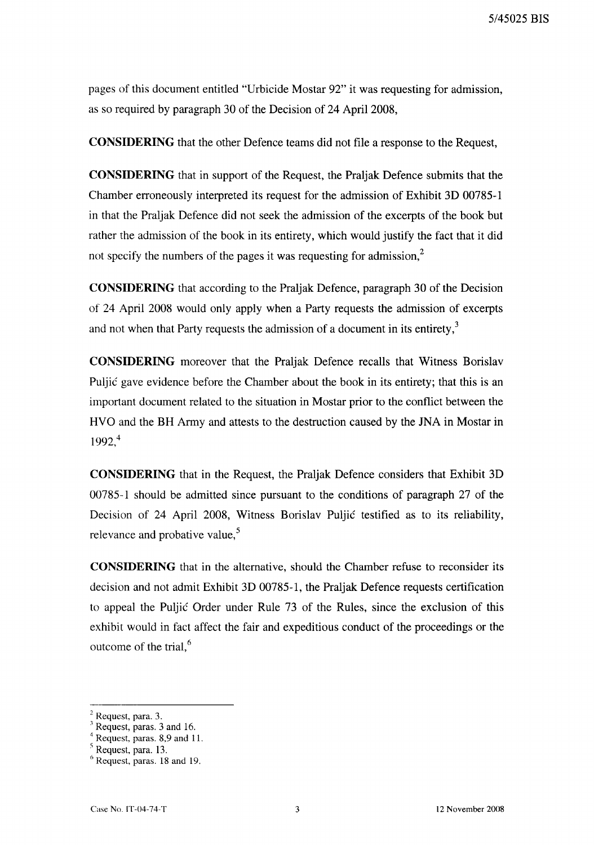5/45025 BIS

pages of this document entitled "Urbicide Mostar 92" it was requesting for admission, as so required by paragraph 30 of the Decision of 24 April 2008,

**CONSIDERING** that the other Defence teams did not file a response to the Request,

**CONSIDERING** that in support of the Request, the Praljak Defence submits that the Chamber erroneously interpreted its request for the admission of Exhibit 3D 00785-1 in that the Praljak Defence did not seek the admission of the excerpts of the book but rather the admission of the book in its entirety, which would justify the fact that it did not specify the numbers of the pages it was requesting for admission, $<sup>2</sup>$ </sup>

**CONSIDERING** that according to the Praljak Defence, paragraph 30 of the Decision of 24 April 2008 would only apply when a Party requests the admission of excerpts and not when that Party requests the admission of a document in its entirety, $3$ 

**CONSIDERING** moreover that the Praljak Defence recalls that Witness Borislav Puljic gave evidence before the Chamber about the book in its entirety; that this is an important document related to the situation in Mostar prior to the conflict between the HVO and the BH Army and attests to the destruction caused by the JNA in Mostar in 1992,4

**CONSIDERING** that in the Request, the Praljak Defence considers that Exhibit 3D 00785-1 should be admitted since pursuant to the conditions of paragraph 27 of the Decision of 24 April 2008, Witness Borislav Puljic testified as to its reliability, relevance and probative value,<sup>5</sup>

**CONSIDERING** that in the alternative, should the Chamber refuse to reconsider its decision and not admit Exhibit 3D 00785-1, the Praljak Defence requests certification to appeal the Puljic Order under Rule 73 of the Rules, since the exclusion of this exhibit would in fact affect the fair and expeditious conduct of the proceedings or the outcome of the trial, $<sup>6</sup>$ </sup>

<sup>2</sup> Request, para. 3.

 $3$  Request, paras. 3 and 16.

<sup>4</sup> Request, paras. 8,9 and II.

<sup>s</sup> Request, para. 13.

<sup>6</sup> Request, paras. 18 and 19.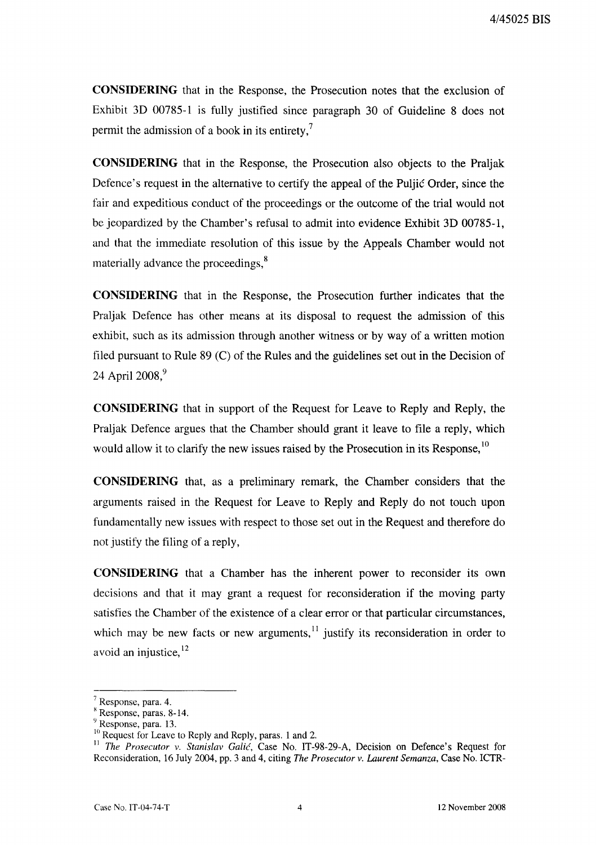**CONSIDERING** that in the Response, the Prosecution notes that the exclusion of Exhibit 3D 00785-1 is fully justified since paragraph 30 of Guideline 8 does not permit the admission of a book in its entirety.'

**CONSIDERING** that in the Response, the Prosecution also objects to the Praljak Defence's request in the alternative to certify the appeal of the Puljic Order, since the fair and expeditious conduct of the proceedings or the outcome of the trial would not be jeopardized by the Chamber's refusal to admit into evidence Exhibit 3D 00785-1, and that the immediate resolution of this issue by the Appeals Chamber would not materially advance the proceedings,<sup>8</sup>

**CONSIDERING** that in the Response, the Prosecution further indicates that the Pra1jak Defence has other means at its disposal to request the admission of this exhibit, such as its admission through another witness or by way of a written motion filed pursuant to Rule 89 (C) of the Rules and the guidelines set out in the Decision of 24 April 2008.<sup>9</sup>

**CONSIDERING** that in support of the Request for Leave to Reply and Reply, the Praljak Defence argues that the Chamber should grant it leave to file a reply, which would allow it to clarify the new issues raised by the Prosecution in its Response,<sup>10</sup>

**CONSIDERING** that, as a preliminary remark, the Chamber considers that the arguments raised in the Request for Leave to Reply and Reply do not touch upon fundamentally new issues with respect to those set out in the Request and therefore do not justify the filing of a reply,

**CONSIDERING** that a Chamber has the inherent power to reconsider its own decisions and that it may grant a request for reconsideration if the moving party satisfies the Chamber of the existence of a clear error or that particular circumstances, which may be new facts or new arguments, $<sup>11</sup>$  justify its reconsideration in order to</sup> avoid an injustice, <sup>12</sup>

 $7$  Response, para. 4.

 $k$  Response, paras. 8-14.

<sup>9</sup> Response, para. 13.

<sup>&</sup>lt;sup>10</sup> Request for Leave to Reply and Reply, paras. 1 and 2.

<sup>&</sup>lt;sup>11</sup> *The Prosecutor v. Stanislav Galić*, Case No. IT-98-29-A, Decision on Defence's Request for Reconsideration, 16 July 2004, pp. 3 and 4, citing *The Prosecutor* v. *Laurent Semanza.* Case No. ICTR-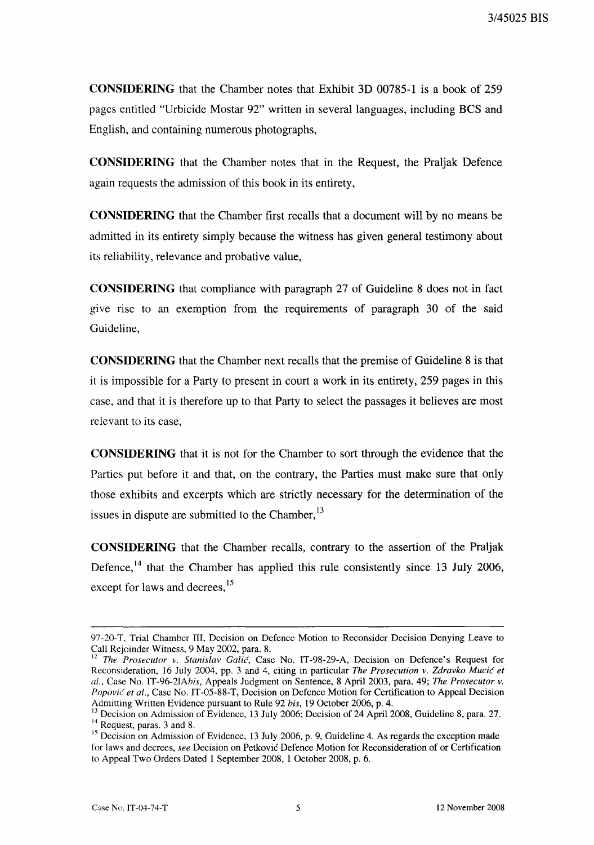**CONSIDERING** that the Chamber notes that Exhibit 3D 00785-1 is a book of 259 pages entitled "Urbicide Mostar 92" written in several languages, including BCS and English, and containing numerous photographs,

**CONSIDERING** that the Chamber notes that in the Request, the Praljak Defence again requests the admission of this book in its entirety,

**CONSIDERING** that the Chamber first recalls that a document will by no means be admitted in its entirety simply because the witness has given general testimony about its reliability, relevance and probative value,

**CONSIDERING** that compliance with paragraph 27 of Guideline 8 does not in fact give rise to an exemption from the requirements of paragraph 30 of the said Guideline,

**CONSIDERING** that the Chamber next recalls that the premise of Guideline 8 is that it is impossible for a Party to present in court a work in its entirety, 259 pages in this case, and that it is therefore up to that Party to select the passages it believes are most relevant to its case,

**CONSIDERING** that it is not for the Chamber to sort through the evidence that the Parties put before it and that, on the contrary, the Parties must make sure that only those exhibits and excerpts which are strictly necessary for the determination of the issues in dispute are submitted to the Chamber,<sup>13</sup>

**CONSIDERING** that the Chamber recalls, contrary to the assertion of the Praljak Defence,<sup>14</sup> that the Chamber has applied this rule consistently since 13 July 2006, except for laws and decrees,<sup>15</sup>

<sup>97-20-</sup>T, Trial Chamber III, Decision on Defence Motion to Reconsider Decision Denying Leave to Call Rejoinder Witness, 9 May 2002, para. 8.

<sup>12</sup> *The Prosecutor v. Stanislav Galic,* Case No. IT-98-29-A, Decision on Defence's Request for Reconsideration, 16 July 2004, pp. 3 and 4, citing in particular *The Prosecution v. Zdravko Mucic et al.,* Case No. IT-96-2IAhis, Appeals Judgment on Sentence, 8 April 2003, para. 49; *The Prosecutor v. Popovic et al.,* Case No. IT-05-88-T, Decision on Defence Motion for Certification to Appeal Decision Admitting Written Evidence pursuant to Rule 92 *his,* 19 October 2006, p. 4.

<sup>&</sup>lt;sup>13</sup> Decision on Admission of Evidence, 13 July 2006; Decision of 24 April 2008, Guideline 8, para. 27. <sup>14</sup> Request, paras. 3 and 8.

<sup>&</sup>lt;sup>15</sup> Decision on Admission of Evidence, 13 July 2006, p. 9, Guideline 4. As regards the exception made for laws and decrees, *see* Decision on Petkovic Defence Motion for Reconsideration of or Certification to Appeal Two Orders Dated 1 September 2008, 1 October 2008, p. 6.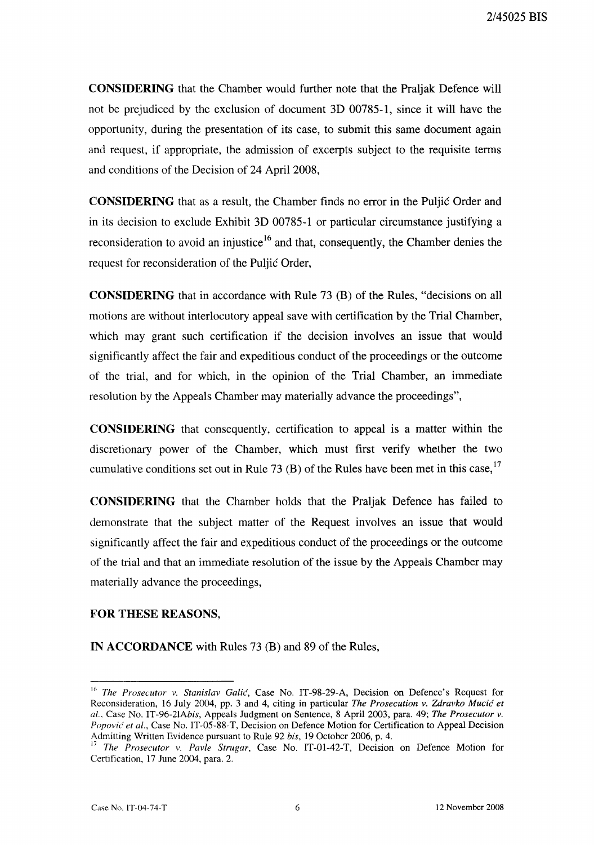CONSIDERING that the Chamber would further note that the Praljak Defence will not be prejudiced by the exclusion of document 3D 00785-1, since it will have the opportunity, during the presentation of its case, to submit this same document again and request, if appropriate, the admission of excerpts subject to the requisite terms and conditions of the Decision of 24 April 2008,

CONSIDERING that as a result, the Chamber finds no error in the Puljic Order and in its decision to exclude Exhibit 3D 00785-1 or particular circumstance justifying a reconsideration to avoid an injustice<sup>16</sup> and that, consequently, the Chamber denies the request for reconsideration of the Puljic Order,

CONSIDERING that in accordance with Rule 73 (H) of the Rules, "decisions on all motions are without interlocutory appeal save with certification by the Trial Chamber, which may grant such certification if the decision involves an issue that would significantly affect the fair and expeditious conduct of the proceedings or the outcome of the trial, and for which, in the opinion of the Trial Chamber, an immediate resolution by the Appeals Chamber may materially advance the proceedings",

CONSIDERING that consequently, certification to appeal is a matter within the discretionary power of the Chamber, which must first verify whether the two cumulative conditions set out in Rule 73 (B) of the Rules have been met in this case,  $17$ 

CONSIDERING that the Chamber holds that the Praljak Defence has failed to demonstrate that the subject matter of the Request involves an issue that would significantly affect the fair and expeditious conduct of the proceedings or the outcome of the trial and that an immediate resolution of the issue by the Appeals Chamber may materially advance the proceedings,

#### FOR THESE REASONS,

IN ACCORDANCE with Rules 73 (B) and 89 of the Rules,

<sup>16</sup> *The Prosecutor v. Stanislav Galic,* Case No. IT-98-29-A, Decision on Defence's Request for Reconsideration, 16 July 2004, pp. 3 and 4, citing in particular *The Prosecution v. Zdravko Mucic et al.,* Case No. IT-96-21Ahis, Appeals Judgment on Sentence, 8 April 2003, para. 49; *The Prosecutor v. Popovic' et al.,* Case No. IT-05-88-T, Decision on Defence Motion for Certification to Appeal Decision Admitting Written Evidence pursuant to Rule 92 *his,* 19 October 2006, p. 4.

<sup>17</sup> *The Prosecutor v. Pavle Strugar,* Case No. IT-01-42-T, Decision on Defence Motion for Certification, 17 June 2004, para. 2.